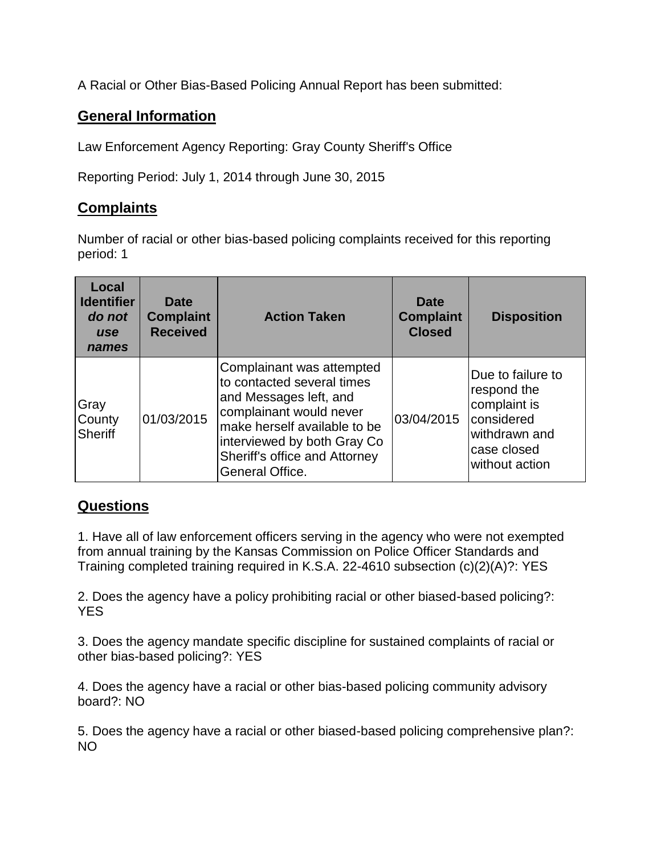A Racial or Other Bias-Based Policing Annual Report has been submitted:

## **General Information**

Law Enforcement Agency Reporting: Gray County Sheriff's Office

Reporting Period: July 1, 2014 through June 30, 2015

## **Complaints**

Number of racial or other bias-based policing complaints received for this reporting period: 1

| Local<br><b>Identifier</b><br>do not<br><b>use</b><br>names | <b>Date</b><br><b>Complaint</b><br><b>Received</b> | <b>Action Taken</b>                                                                                                                                                                                                             | Date<br><b>Complaint</b><br><b>Closed</b> | <b>Disposition</b>                                                                                               |
|-------------------------------------------------------------|----------------------------------------------------|---------------------------------------------------------------------------------------------------------------------------------------------------------------------------------------------------------------------------------|-------------------------------------------|------------------------------------------------------------------------------------------------------------------|
| <b>Gray</b><br>County<br>Sheriff                            | 01/03/2015                                         | Complainant was attempted<br>to contacted several times<br>and Messages left, and<br>complainant would never<br>make herself available to be<br>interviewed by both Gray Co<br>Sheriff's office and Attorney<br>General Office. | 03/04/2015                                | Due to failure to<br>respond the<br>complaint is<br>considered<br>withdrawn and<br>case closed<br>without action |

## **Questions**

1. Have all of law enforcement officers serving in the agency who were not exempted from annual training by the Kansas Commission on Police Officer Standards and Training completed training required in K.S.A. 22-4610 subsection (c)(2)(A)?: YES

2. Does the agency have a policy prohibiting racial or other biased-based policing?: **YES** 

3. Does the agency mandate specific discipline for sustained complaints of racial or other bias-based policing?: YES

4. Does the agency have a racial or other bias-based policing community advisory board?: NO

5. Does the agency have a racial or other biased-based policing comprehensive plan?: NO